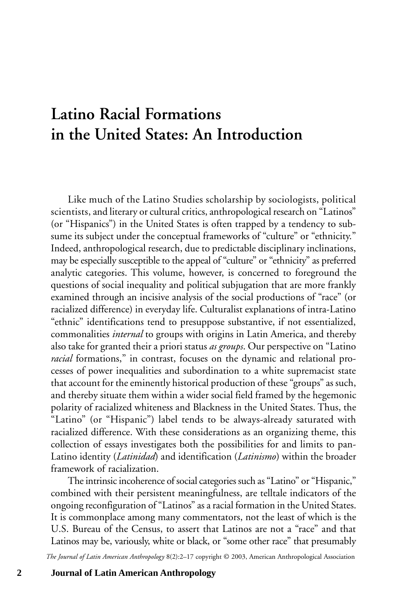## **Latino Racial Formations in the United States: An Introduction**

Like much of the Latino Studies scholarship by sociologists, political scientists, and literary or cultural critics, anthropological research on "Latinos" (or "Hispanics") in the United States is often trapped by a tendency to subsume its subject under the conceptual frameworks of "culture" or "ethnicity." Indeed, anthropological research, due to predictable disciplinary inclinations, may be especially susceptible to the appeal of "culture" or "ethnicity" as preferred analytic categories. This volume, however, is concerned to foreground the questions of social inequality and political subjugation that are more frankly examined through an incisive analysis of the social productions of "race" (or racialized difference) in everyday life. Culturalist explanations of intra-Latino "ethnic" identifications tend to presuppose substantive, if not essentialized, commonalities *internal* to groups with origins in Latin America, and thereby also take for granted their a priori status *as groups*. Our perspective on "Latino *racial* formations," in contrast, focuses on the dynamic and relational processes of power inequalities and subordination to a white supremacist state that account for the eminently historical production of these "groups" as such, and thereby situate them within a wider social field framed by the hegemonic polarity of racialized whiteness and Blackness in the United States. Thus, the "Latino" (or "Hispanic") label tends to be always-already saturated with racialized difference. With these considerations as an organizing theme, this collection of essays investigates both the possibilities for and limits to pan-Latino identity (*Latinidad*) and identification (*Latinismo*) within the broader framework of racialization.

The intrinsic incoherence of social categories such as "Latino" or "Hispanic," combined with their persistent meaningfulness, are telltale indicators of the ongoing reconfiguration of "Latinos" as a racial formation in the United States. It is commonplace among many commentators, not the least of which is the U.S. Bureau of the Census, to assert that Latinos are not a "race" and that Latinos may be, variously, white or black, or "some other race" that presumably

*The Journal of Latin American Anthropology* 8(2):2–17 copyright © 2003, American Anthropological Association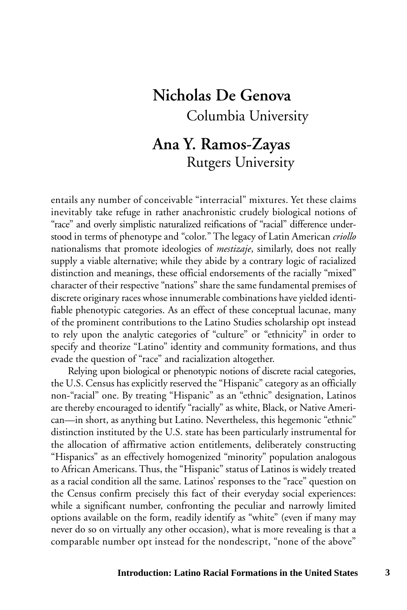# **Nicholas De Genova** Columbia University

## **Ana Y. Ramos-Zayas** Rutgers University

entails any number of conceivable "interracial" mixtures. Yet these claims inevitably take refuge in rather anachronistic crudely biological notions of "race" and overly simplistic naturalized reifications of "racial" difference understood in terms of phenotype and "color." The legacy of Latin American *criollo* nationalisms that promote ideologies of *mestizaje*, similarly, does not really supply a viable alternative; while they abide by a contrary logic of racialized distinction and meanings, these official endorsements of the racially "mixed" character of their respective "nations" share the same fundamental premises of discrete originary races whose innumerable combinations have yielded identifiable phenotypic categories. As an effect of these conceptual lacunae, many of the prominent contributions to the Latino Studies scholarship opt instead to rely upon the analytic categories of "culture" or "ethnicity" in order to specify and theorize "Latino" identity and community formations, and thus evade the question of "race" and racialization altogether.

Relying upon biological or phenotypic notions of discrete racial categories, the U.S. Census has explicitly reserved the "Hispanic" category as an officially non-"racial" one. By treating "Hispanic" as an "ethnic" designation, Latinos are thereby encouraged to identify "racially" as white, Black, or Native American—in short, as anything but Latino. Nevertheless, this hegemonic "ethnic" distinction instituted by the U.S. state has been particularly instrumental for the allocation of affirmative action entitlements, deliberately constructing "Hispanics" as an effectively homogenized "minority" population analogous to African Americans. Thus, the "Hispanic" status of Latinos is widely treated as a racial condition all the same. Latinos' responses to the "race" question on the Census confirm precisely this fact of their everyday social experiences: while a significant number, confronting the peculiar and narrowly limited options available on the form, readily identify as "white" (even if many may never do so on virtually any other occasion), what is more revealing is that a comparable number opt instead for the nondescript, "none of the above"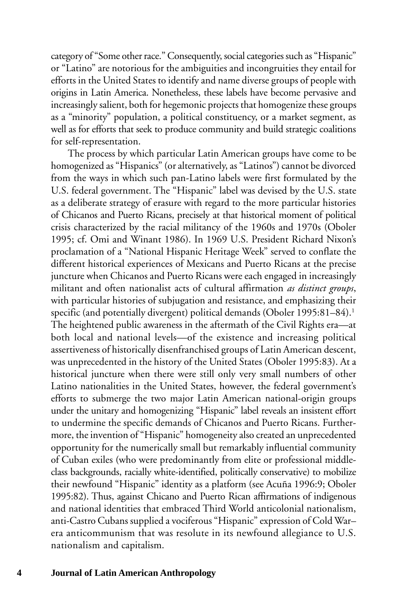category of "Some other race." Consequently, social categories such as "Hispanic" or "Latino" are notorious for the ambiguities and incongruities they entail for efforts in the United States to identify and name diverse groups of people with origins in Latin America. Nonetheless, these labels have become pervasive and increasingly salient, both for hegemonic projects that homogenize these groups as a "minority" population, a political constituency, or a market segment, as well as for efforts that seek to produce community and build strategic coalitions for self-representation.

The process by which particular Latin American groups have come to be homogenized as "Hispanics" (or alternatively, as "Latinos") cannot be divorced from the ways in which such pan-Latino labels were first formulated by the U.S. federal government. The "Hispanic" label was devised by the U.S. state as a deliberate strategy of erasure with regard to the more particular histories of Chicanos and Puerto Ricans, precisely at that historical moment of political crisis characterized by the racial militancy of the 1960s and 1970s (Oboler 1995; cf. Omi and Winant 1986). In 1969 U.S. President Richard Nixon's proclamation of a "National Hispanic Heritage Week" served to conflate the different historical experiences of Mexicans and Puerto Ricans at the precise juncture when Chicanos and Puerto Ricans were each engaged in increasingly militant and often nationalist acts of cultural affirmation *as distinct groups*, with particular histories of subjugation and resistance, and emphasizing their specific (and potentially divergent) political demands (Oboler 1995:81-84).<sup>1</sup> The heightened public awareness in the aftermath of the Civil Rights era—at both local and national levels—of the existence and increasing political assertiveness of historically disenfranchised groups of Latin American descent, was unprecedented in the history of the United States (Oboler 1995:83). At a historical juncture when there were still only very small numbers of other Latino nationalities in the United States, however, the federal government's efforts to submerge the two major Latin American national-origin groups under the unitary and homogenizing "Hispanic" label reveals an insistent effort to undermine the specific demands of Chicanos and Puerto Ricans. Furthermore, the invention of "Hispanic" homogeneity also created an unprecedented opportunity for the numerically small but remarkably influential community of Cuban exiles (who were predominantly from elite or professional middleclass backgrounds, racially white-identified, politically conservative) to mobilize their newfound "Hispanic" identity as a platform (see Acuña 1996:9; Oboler 1995:82). Thus, against Chicano and Puerto Rican affirmations of indigenous and national identities that embraced Third World anticolonial nationalism, anti-Castro Cubans supplied a vociferous "Hispanic" expression of Cold War– era anticommunism that was resolute in its newfound allegiance to U.S. nationalism and capitalism.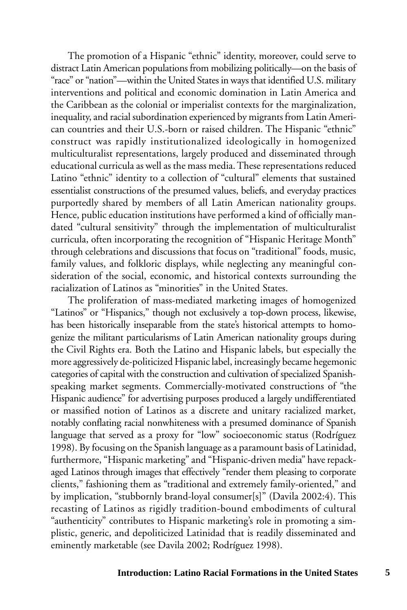The promotion of a Hispanic "ethnic" identity, moreover, could serve to distract Latin American populations from mobilizing politically—on the basis of "race" or "nation"—within the United States in ways that identified U.S. military interventions and political and economic domination in Latin America and the Caribbean as the colonial or imperialist contexts for the marginalization, inequality, and racial subordination experienced by migrants from Latin American countries and their U.S.-born or raised children. The Hispanic "ethnic" construct was rapidly institutionalized ideologically in homogenized multiculturalist representations, largely produced and disseminated through educational curricula as well as the mass media. These representations reduced Latino "ethnic" identity to a collection of "cultural" elements that sustained essentialist constructions of the presumed values, beliefs, and everyday practices purportedly shared by members of all Latin American nationality groups. Hence, public education institutions have performed a kind of officially mandated "cultural sensitivity" through the implementation of multiculturalist curricula, often incorporating the recognition of "Hispanic Heritage Month" through celebrations and discussions that focus on "traditional" foods, music, family values, and folkloric displays, while neglecting any meaningful consideration of the social, economic, and historical contexts surrounding the racialization of Latinos as "minorities" in the United States.

The proliferation of mass-mediated marketing images of homogenized "Latinos" or "Hispanics," though not exclusively a top-down process, likewise, has been historically inseparable from the state's historical attempts to homogenize the militant particularisms of Latin American nationality groups during the Civil Rights era. Both the Latino and Hispanic labels, but especially the more aggressively de-politicized Hispanic label, increasingly became hegemonic categories of capital with the construction and cultivation of specialized Spanishspeaking market segments. Commercially-motivated constructions of "the Hispanic audience" for advertising purposes produced a largely undifferentiated or massified notion of Latinos as a discrete and unitary racialized market, notably conflating racial nonwhiteness with a presumed dominance of Spanish language that served as a proxy for "low" socioeconomic status (Rodríguez 1998). By focusing on the Spanish language as a paramount basis of Latinidad, furthermore, "Hispanic marketing" and "Hispanic-driven media" have repackaged Latinos through images that effectively "render them pleasing to corporate clients," fashioning them as "traditional and extremely family-oriented," and by implication, "stubbornly brand-loyal consumer[s]" (Davila 2002:4). This recasting of Latinos as rigidly tradition-bound embodiments of cultural "authenticity" contributes to Hispanic marketing's role in promoting a simplistic, generic, and depoliticized Latinidad that is readily disseminated and eminently marketable (see Davila 2002; Rodríguez 1998).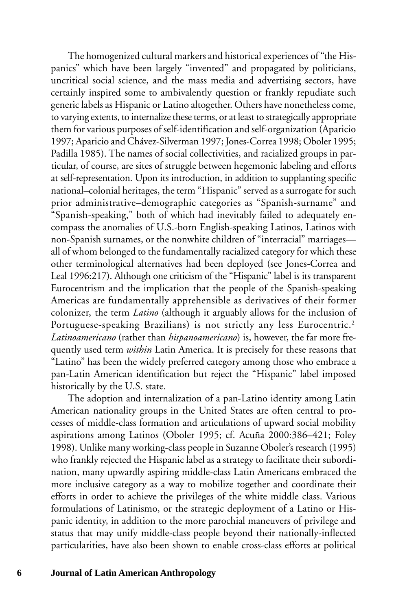The homogenized cultural markers and historical experiences of "the Hispanics" which have been largely "invented" and propagated by politicians, uncritical social science, and the mass media and advertising sectors, have certainly inspired some to ambivalently question or frankly repudiate such generic labels as Hispanic or Latino altogether. Others have nonetheless come, to varying extents, to internalize these terms, or at least to strategically appropriate them for various purposes of self-identification and self-organization (Aparicio 1997; Aparicio and Chávez-Silverman 1997; Jones-Correa 1998; Oboler 1995; Padilla 1985). The names of social collectivities, and racialized groups in particular, of course, are sites of struggle between hegemonic labeling and efforts at self-representation. Upon its introduction, in addition to supplanting specific national–colonial heritages, the term "Hispanic" served as a surrogate for such prior administrative–demographic categories as "Spanish-surname" and "Spanish-speaking," both of which had inevitably failed to adequately encompass the anomalies of U.S.-born English-speaking Latinos, Latinos with non-Spanish surnames, or the nonwhite children of "interracial" marriages all of whom belonged to the fundamentally racialized category for which these other terminological alternatives had been deployed (see Jones-Correa and Leal 1996:217). Although one criticism of the "Hispanic" label is its transparent Eurocentrism and the implication that the people of the Spanish-speaking Americas are fundamentally apprehensible as derivatives of their former colonizer, the term *Latino* (although it arguably allows for the inclusion of Portuguese-speaking Brazilians) is not strictly any less Eurocentric.<sup>2</sup> *Latinoamericano* (rather than *hispanoamericano*) is, however, the far more frequently used term *within* Latin America. It is precisely for these reasons that "Latino" has been the widely preferred category among those who embrace a pan-Latin American identification but reject the "Hispanic" label imposed historically by the U.S. state.

The adoption and internalization of a pan-Latino identity among Latin American nationality groups in the United States are often central to processes of middle-class formation and articulations of upward social mobility aspirations among Latinos (Oboler 1995; cf. Acuña 2000:386–421; Foley 1998). Unlike many working-class people in Suzanne Oboler's research (1995) who frankly rejected the Hispanic label as a strategy to facilitate their subordination, many upwardly aspiring middle-class Latin Americans embraced the more inclusive category as a way to mobilize together and coordinate their efforts in order to achieve the privileges of the white middle class. Various formulations of Latinismo, or the strategic deployment of a Latino or Hispanic identity, in addition to the more parochial maneuvers of privilege and status that may unify middle-class people beyond their nationally-inflected particularities, have also been shown to enable cross-class efforts at political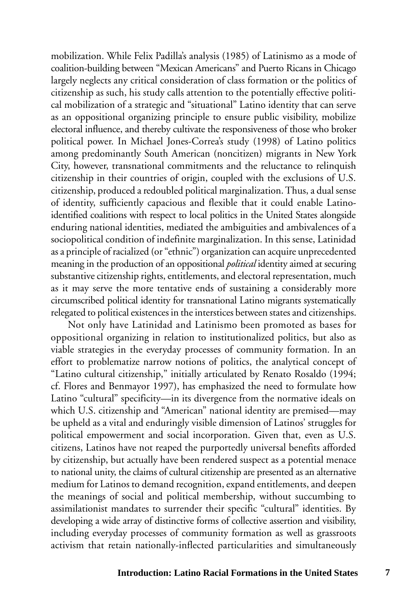mobilization. While Felix Padilla's analysis (1985) of Latinismo as a mode of coalition-building between "Mexican Americans" and Puerto Ricans in Chicago largely neglects any critical consideration of class formation or the politics of citizenship as such, his study calls attention to the potentially effective political mobilization of a strategic and "situational" Latino identity that can serve as an oppositional organizing principle to ensure public visibility, mobilize electoral influence, and thereby cultivate the responsiveness of those who broker political power. In Michael Jones-Correa's study (1998) of Latino politics among predominantly South American (noncitizen) migrants in New York City, however, transnational commitments and the reluctance to relinquish citizenship in their countries of origin, coupled with the exclusions of U.S. citizenship, produced a redoubled political marginalization. Thus, a dual sense of identity, sufficiently capacious and flexible that it could enable Latinoidentified coalitions with respect to local politics in the United States alongside enduring national identities, mediated the ambiguities and ambivalences of a sociopolitical condition of indefinite marginalization. In this sense, Latinidad as a principle of racialized (or "ethnic") organization can acquire unprecedented meaning in the production of an oppositional *political* identity aimed at securing substantive citizenship rights, entitlements, and electoral representation, much as it may serve the more tentative ends of sustaining a considerably more circumscribed political identity for transnational Latino migrants systematically relegated to political existences in the interstices between states and citizenships.

Not only have Latinidad and Latinismo been promoted as bases for oppositional organizing in relation to institutionalized politics, but also as viable strategies in the everyday processes of community formation. In an effort to problematize narrow notions of politics, the analytical concept of "Latino cultural citizenship," initially articulated by Renato Rosaldo (1994; cf. Flores and Benmayor 1997), has emphasized the need to formulate how Latino "cultural" specificity—in its divergence from the normative ideals on which U.S. citizenship and "American" national identity are premised—may be upheld as a vital and enduringly visible dimension of Latinos' struggles for political empowerment and social incorporation. Given that, even as U.S. citizens, Latinos have not reaped the purportedly universal benefits afforded by citizenship, but actually have been rendered suspect as a potential menace to national unity, the claims of cultural citizenship are presented as an alternative medium for Latinos to demand recognition, expand entitlements, and deepen the meanings of social and political membership, without succumbing to assimilationist mandates to surrender their specific "cultural" identities. By developing a wide array of distinctive forms of collective assertion and visibility, including everyday processes of community formation as well as grassroots activism that retain nationally-inflected particularities and simultaneously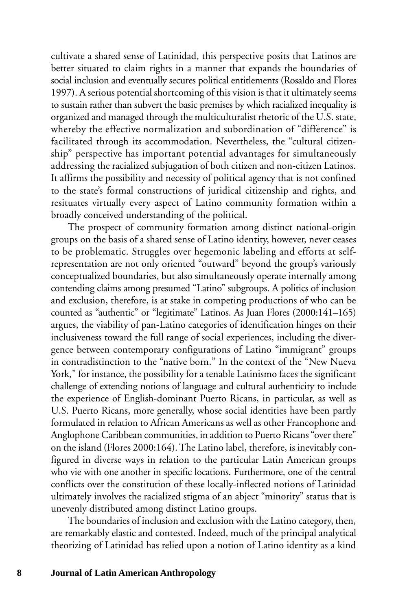cultivate a shared sense of Latinidad, this perspective posits that Latinos are better situated to claim rights in a manner that expands the boundaries of social inclusion and eventually secures political entitlements (Rosaldo and Flores 1997). A serious potential shortcoming of this vision is that it ultimately seems to sustain rather than subvert the basic premises by which racialized inequality is organized and managed through the multiculturalist rhetoric of the U.S. state, whereby the effective normalization and subordination of "difference" is facilitated through its accommodation. Nevertheless, the "cultural citizenship" perspective has important potential advantages for simultaneously addressing the racialized subjugation of both citizen and non-citizen Latinos. It affirms the possibility and necessity of political agency that is not confined to the state's formal constructions of juridical citizenship and rights, and resituates virtually every aspect of Latino community formation within a broadly conceived understanding of the political.

The prospect of community formation among distinct national-origin groups on the basis of a shared sense of Latino identity, however, never ceases to be problematic. Struggles over hegemonic labeling and efforts at selfrepresentation are not only oriented "outward" beyond the group's variously conceptualized boundaries, but also simultaneously operate internally among contending claims among presumed "Latino" subgroups. A politics of inclusion and exclusion, therefore, is at stake in competing productions of who can be counted as "authentic" or "legitimate" Latinos. As Juan Flores (2000:141–165) argues, the viability of pan-Latino categories of identification hinges on their inclusiveness toward the full range of social experiences, including the divergence between contemporary configurations of Latino "immigrant" groups in contradistinction to the "native born." In the context of the "New Nueva York," for instance, the possibility for a tenable Latinismo faces the significant challenge of extending notions of language and cultural authenticity to include the experience of English-dominant Puerto Ricans, in particular, as well as U.S. Puerto Ricans, more generally, whose social identities have been partly formulated in relation to African Americans as well as other Francophone and Anglophone Caribbean communities, in addition to Puerto Ricans "over there" on the island (Flores 2000:164). The Latino label, therefore, is inevitably configured in diverse ways in relation to the particular Latin American groups who vie with one another in specific locations. Furthermore, one of the central conflicts over the constitution of these locally-inflected notions of Latinidad ultimately involves the racialized stigma of an abject "minority" status that is unevenly distributed among distinct Latino groups.

The boundaries of inclusion and exclusion with the Latino category, then, are remarkably elastic and contested. Indeed, much of the principal analytical theorizing of Latinidad has relied upon a notion of Latino identity as a kind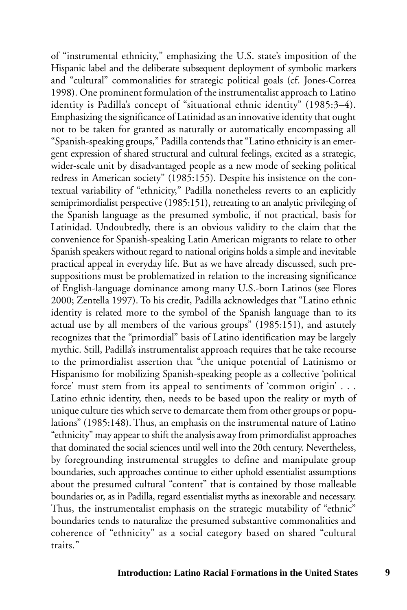of "instrumental ethnicity," emphasizing the U.S. state's imposition of the Hispanic label and the deliberate subsequent deployment of symbolic markers and "cultural" commonalities for strategic political goals (cf. Jones-Correa 1998). One prominent formulation of the instrumentalist approach to Latino identity is Padilla's concept of "situational ethnic identity" (1985:3–4). Emphasizing the significance of Latinidad as an innovative identity that ought not to be taken for granted as naturally or automatically encompassing all "Spanish-speaking groups," Padilla contends that "Latino ethnicity is an emergent expression of shared structural and cultural feelings, excited as a strategic, wider-scale unit by disadvantaged people as a new mode of seeking political redress in American society" (1985:155). Despite his insistence on the contextual variability of "ethnicity," Padilla nonetheless reverts to an explicitly semiprimordialist perspective (1985:151), retreating to an analytic privileging of the Spanish language as the presumed symbolic, if not practical, basis for Latinidad. Undoubtedly, there is an obvious validity to the claim that the convenience for Spanish-speaking Latin American migrants to relate to other Spanish speakers without regard to national origins holds a simple and inevitable practical appeal in everyday life. But as we have already discussed, such presuppositions must be problematized in relation to the increasing significance of English-language dominance among many U.S.-born Latinos (see Flores 2000; Zentella 1997). To his credit, Padilla acknowledges that "Latino ethnic identity is related more to the symbol of the Spanish language than to its actual use by all members of the various groups" (1985:151), and astutely recognizes that the "primordial" basis of Latino identification may be largely mythic. Still, Padilla's instrumentalist approach requires that he take recourse to the primordialist assertion that "the unique potential of Latinismo or Hispanismo for mobilizing Spanish-speaking people as a collective 'political force' must stem from its appeal to sentiments of 'common origin' . . . Latino ethnic identity, then, needs to be based upon the reality or myth of unique culture ties which serve to demarcate them from other groups or populations" (1985:148). Thus, an emphasis on the instrumental nature of Latino "ethnicity" may appear to shift the analysis away from primordialist approaches that dominated the social sciences until well into the 20th century. Nevertheless, by foregrounding instrumental struggles to define and manipulate group boundaries, such approaches continue to either uphold essentialist assumptions about the presumed cultural "content" that is contained by those malleable boundaries or, as in Padilla, regard essentialist myths as inexorable and necessary. Thus, the instrumentalist emphasis on the strategic mutability of "ethnic" boundaries tends to naturalize the presumed substantive commonalities and coherence of "ethnicity" as a social category based on shared "cultural traits."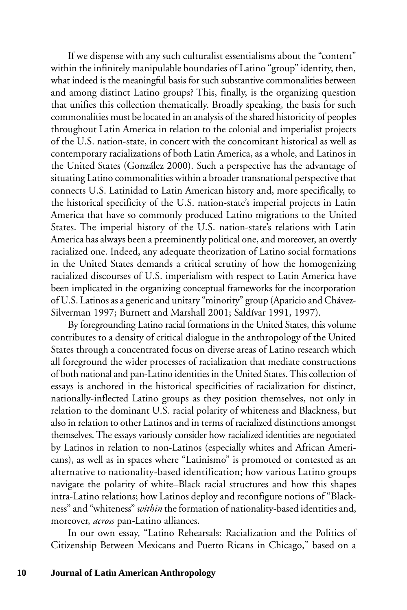If we dispense with any such culturalist essentialisms about the "content" within the infinitely manipulable boundaries of Latino "group" identity, then, what indeed is the meaningful basis for such substantive commonalities between and among distinct Latino groups? This, finally, is the organizing question that unifies this collection thematically. Broadly speaking, the basis for such commonalities must be located in an analysis of the shared historicity of peoples throughout Latin America in relation to the colonial and imperialist projects of the U.S. nation-state, in concert with the concomitant historical as well as contemporary racializations of both Latin America, as a whole, and Latinos in the United States (González 2000). Such a perspective has the advantage of situating Latino commonalities within a broader transnational perspective that connects U.S. Latinidad to Latin American history and, more specifically, to the historical specificity of the U.S. nation-state's imperial projects in Latin America that have so commonly produced Latino migrations to the United States. The imperial history of the U.S. nation-state's relations with Latin America has always been a preeminently political one, and moreover, an overtly racialized one. Indeed, any adequate theorization of Latino social formations in the United States demands a critical scrutiny of how the homogenizing racialized discourses of U.S. imperialism with respect to Latin America have been implicated in the organizing conceptual frameworks for the incorporation of U.S. Latinos as a generic and unitary "minority" group (Aparicio and Chávez-Silverman 1997; Burnett and Marshall 2001; Saldívar 1991, 1997).

By foregrounding Latino racial formations in the United States, this volume contributes to a density of critical dialogue in the anthropology of the United States through a concentrated focus on diverse areas of Latino research which all foreground the wider processes of racialization that mediate constructions of both national and pan-Latino identities in the United States. This collection of essays is anchored in the historical specificities of racialization for distinct, nationally-inflected Latino groups as they position themselves, not only in relation to the dominant U.S. racial polarity of whiteness and Blackness, but also in relation to other Latinos and in terms of racialized distinctions amongst themselves. The essays variously consider how racialized identities are negotiated by Latinos in relation to non-Latinos (especially whites and African Americans), as well as in spaces where "Latinismo" is promoted or contested as an alternative to nationality-based identification; how various Latino groups navigate the polarity of white–Black racial structures and how this shapes intra-Latino relations; how Latinos deploy and reconfigure notions of "Blackness" and "whiteness" *within* the formation of nationality-based identities and, moreover, *across* pan-Latino alliances.

In our own essay, "Latino Rehearsals: Racialization and the Politics of Citizenship Between Mexicans and Puerto Ricans in Chicago," based on a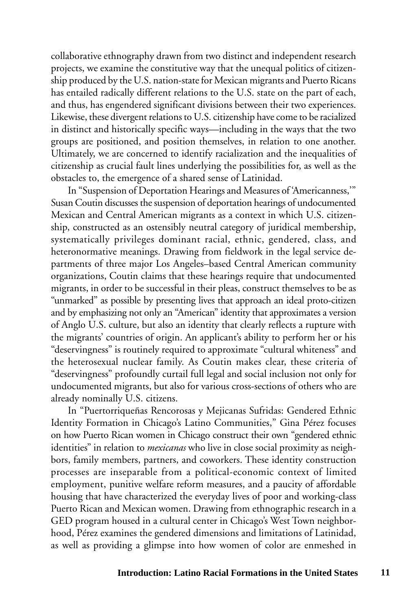collaborative ethnography drawn from two distinct and independent research projects, we examine the constitutive way that the unequal politics of citizenship produced by the U.S. nation-state for Mexican migrants and Puerto Ricans has entailed radically different relations to the U.S. state on the part of each, and thus, has engendered significant divisions between their two experiences. Likewise, these divergent relations to U.S. citizenship have come to be racialized in distinct and historically specific ways—including in the ways that the two groups are positioned, and position themselves, in relation to one another. Ultimately, we are concerned to identify racialization and the inequalities of citizenship as crucial fault lines underlying the possibilities for, as well as the obstacles to, the emergence of a shared sense of Latinidad.

In "Suspension of Deportation Hearings and Measures of 'Americanness,'" Susan Coutin discusses the suspension of deportation hearings of undocumented Mexican and Central American migrants as a context in which U.S. citizenship, constructed as an ostensibly neutral category of juridical membership, systematically privileges dominant racial, ethnic, gendered, class, and heteronormative meanings. Drawing from fieldwork in the legal service departments of three major Los Angeles–based Central American community organizations, Coutin claims that these hearings require that undocumented migrants, in order to be successful in their pleas, construct themselves to be as "unmarked" as possible by presenting lives that approach an ideal proto-citizen and by emphasizing not only an "American" identity that approximates a version of Anglo U.S. culture, but also an identity that clearly reflects a rupture with the migrants' countries of origin. An applicant's ability to perform her or his "deservingness" is routinely required to approximate "cultural whiteness" and the heterosexual nuclear family. As Coutin makes clear, these criteria of "deservingness" profoundly curtail full legal and social inclusion not only for undocumented migrants, but also for various cross-sections of others who are already nominally U.S. citizens.

In "Puertorriqueñas Rencorosas y Mejicanas Sufridas: Gendered Ethnic Identity Formation in Chicago's Latino Communities," Gina Pérez focuses on how Puerto Rican women in Chicago construct their own "gendered ethnic identities" in relation to *mexicanas* who live in close social proximity as neighbors, family members, partners, and coworkers. These identity construction processes are inseparable from a political-economic context of limited employment, punitive welfare reform measures, and a paucity of affordable housing that have characterized the everyday lives of poor and working-class Puerto Rican and Mexican women. Drawing from ethnographic research in a GED program housed in a cultural center in Chicago's West Town neighborhood, Pérez examines the gendered dimensions and limitations of Latinidad, as well as providing a glimpse into how women of color are enmeshed in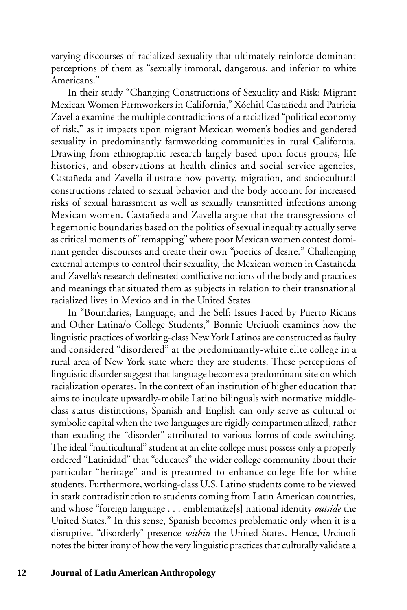varying discourses of racialized sexuality that ultimately reinforce dominant perceptions of them as "sexually immoral, dangerous, and inferior to white Americans."

In their study "Changing Constructions of Sexuality and Risk: Migrant Mexican Women Farmworkers in California," Xóchitl Castañeda and Patricia Zavella examine the multiple contradictions of a racialized "political economy of risk," as it impacts upon migrant Mexican women's bodies and gendered sexuality in predominantly farmworking communities in rural California. Drawing from ethnographic research largely based upon focus groups, life histories, and observations at health clinics and social service agencies, Castañeda and Zavella illustrate how poverty, migration, and sociocultural constructions related to sexual behavior and the body account for increased risks of sexual harassment as well as sexually transmitted infections among Mexican women. Castañeda and Zavella argue that the transgressions of hegemonic boundaries based on the politics of sexual inequality actually serve as critical moments of "remapping" where poor Mexican women contest dominant gender discourses and create their own "poetics of desire." Challenging external attempts to control their sexuality, the Mexican women in Castañeda and Zavella's research delineated conflictive notions of the body and practices and meanings that situated them as subjects in relation to their transnational racialized lives in Mexico and in the United States.

In "Boundaries, Language, and the Self: Issues Faced by Puerto Ricans and Other Latina/o College Students," Bonnie Urciuoli examines how the linguistic practices of working-class New York Latinos are constructed as faulty and considered "disordered" at the predominantly-white elite college in a rural area of New York state where they are students. These perceptions of linguistic disorder suggest that language becomes a predominant site on which racialization operates. In the context of an institution of higher education that aims to inculcate upwardly-mobile Latino bilinguals with normative middleclass status distinctions, Spanish and English can only serve as cultural or symbolic capital when the two languages are rigidly compartmentalized, rather than exuding the "disorder" attributed to various forms of code switching. The ideal "multicultural" student at an elite college must possess only a properly ordered "Latinidad" that "educates" the wider college community about their particular "heritage" and is presumed to enhance college life for white students. Furthermore, working-class U.S. Latino students come to be viewed in stark contradistinction to students coming from Latin American countries, and whose "foreign language . . . emblematize[s] national identity *outside* the United States." In this sense, Spanish becomes problematic only when it is a disruptive, "disorderly" presence *within* the United States. Hence, Urciuoli notes the bitter irony of how the very linguistic practices that culturally validate a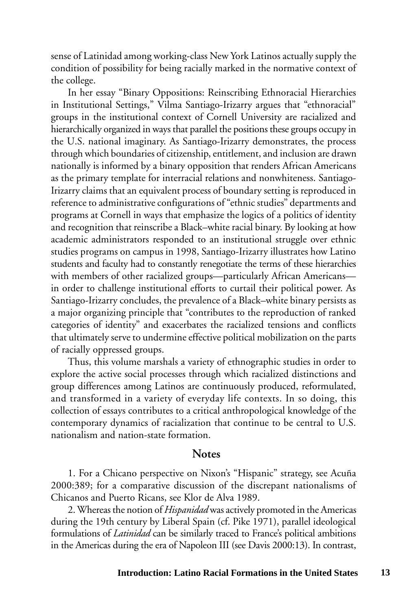sense of Latinidad among working-class New York Latinos actually supply the condition of possibility for being racially marked in the normative context of the college.

In her essay "Binary Oppositions: Reinscribing Ethnoracial Hierarchies in Institutional Settings," Vilma Santiago-Irizarry argues that "ethnoracial" groups in the institutional context of Cornell University are racialized and hierarchically organized in ways that parallel the positions these groups occupy in the U.S. national imaginary. As Santiago-Irizarry demonstrates, the process through which boundaries of citizenship, entitlement, and inclusion are drawn nationally is informed by a binary opposition that renders African Americans as the primary template for interracial relations and nonwhiteness. Santiago-Irizarry claims that an equivalent process of boundary setting is reproduced in reference to administrative configurations of "ethnic studies" departments and programs at Cornell in ways that emphasize the logics of a politics of identity and recognition that reinscribe a Black–white racial binary. By looking at how academic administrators responded to an institutional struggle over ethnic studies programs on campus in 1998, Santiago-Irizarry illustrates how Latino students and faculty had to constantly renegotiate the terms of these hierarchies with members of other racialized groups—particularly African Americans in order to challenge institutional efforts to curtail their political power. As Santiago-Irizarry concludes, the prevalence of a Black–white binary persists as a major organizing principle that "contributes to the reproduction of ranked categories of identity" and exacerbates the racialized tensions and conflicts that ultimately serve to undermine effective political mobilization on the parts of racially oppressed groups.

Thus, this volume marshals a variety of ethnographic studies in order to explore the active social processes through which racialized distinctions and group differences among Latinos are continuously produced, reformulated, and transformed in a variety of everyday life contexts. In so doing, this collection of essays contributes to a critical anthropological knowledge of the contemporary dynamics of racialization that continue to be central to U.S. nationalism and nation-state formation.

#### **Notes**

1. For a Chicano perspective on Nixon's "Hispanic" strategy, see Acuña 2000:389; for a comparative discussion of the discrepant nationalisms of Chicanos and Puerto Ricans, see Klor de Alva 1989.

2. Whereas the notion of *Hispanidad* was actively promoted in the Americas during the 19th century by Liberal Spain (cf. Pike 1971), parallel ideological formulations of *Latinidad* can be similarly traced to France's political ambitions in the Americas during the era of Napoleon III (see Davis 2000:13). In contrast,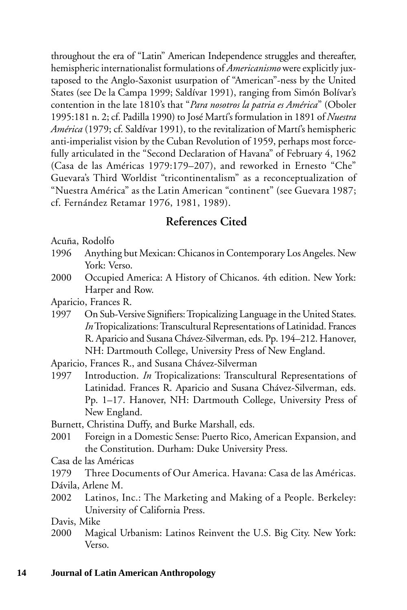throughout the era of "Latin" American Independence struggles and thereafter, hemispheric internationalist formulations of *Americanismo* were explicitly juxtaposed to the Anglo-Saxonist usurpation of "American"-ness by the United States (see De la Campa 1999; Saldívar 1991), ranging from Simón Bolívar's contention in the late 1810's that "*Para nosotros la patria es América*" (Oboler 1995:181 n. 2; cf. Padilla 1990) to José Martí's formulation in 1891 of *Nuestra América* (1979; cf. Saldívar 1991), to the revitalization of Martí's hemispheric anti-imperialist vision by the Cuban Revolution of 1959, perhaps most forcefully articulated in the "Second Declaration of Havana" of February 4, 1962 (Casa de las Américas 1979:179–207), and reworked in Ernesto "Che" Guevara's Third Worldist "tricontinentalism" as a reconceptualization of "Nuestra América" as the Latin American "continent" (see Guevara 1987; cf. Fernández Retamar 1976, 1981, 1989).

### **References Cited**

- Acuña, Rodolfo
- 1996 Anything but Mexican: Chicanos in Contemporary Los Angeles. New York: Verso.
- 2000 Occupied America: A History of Chicanos. 4th edition. New York: Harper and Row.
- Aparicio, Frances R.
- 1997 On Sub-Versive Signifiers: Tropicalizing Language in the United States. *In* Tropicalizations: Transcultural Representations of Latinidad. Frances R. Aparicio and Susana Chávez-Silverman, eds. Pp. 194–212. Hanover, NH: Dartmouth College, University Press of New England.
- Aparicio, Frances R., and Susana Chávez-Silverman
- 1997 Introduction. *In* Tropicalizations: Transcultural Representations of Latinidad. Frances R. Aparicio and Susana Chávez-Silverman, eds. Pp. 1–17. Hanover, NH: Dartmouth College, University Press of New England.
- Burnett, Christina Duffy, and Burke Marshall, eds.
- 2001 Foreign in a Domestic Sense: Puerto Rico, American Expansion, and the Constitution. Durham: Duke University Press.
- Casa de las Américas
- 1979 Three Documents of Our America. Havana: Casa de las Américas. Dávila, Arlene M.
- 2002 Latinos, Inc.: The Marketing and Making of a People. Berkeley: University of California Press.

Davis, Mike

2000 Magical Urbanism: Latinos Reinvent the U.S. Big City. New York: Verso.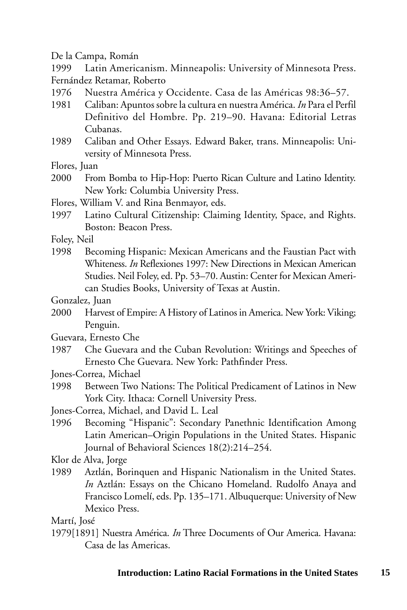De la Campa, Román

1999 Latin Americanism. Minneapolis: University of Minnesota Press. Fernández Retamar, Roberto

- 1976 Nuestra América y Occidente. Casa de las Américas 98:36–57.
- 1981 Caliban: Apuntos sobre la cultura en nuestra América. *In* Para el Perfil Definitivo del Hombre. Pp. 219–90. Havana: Editorial Letras Cubanas.
- 1989 Caliban and Other Essays. Edward Baker, trans. Minneapolis: University of Minnesota Press.
- Flores, Juan
- 2000 From Bomba to Hip-Hop: Puerto Rican Culture and Latino Identity. New York: Columbia University Press.
- Flores, William V. and Rina Benmayor, eds.
- 1997 Latino Cultural Citizenship: Claiming Identity, Space, and Rights. Boston: Beacon Press.
- Foley, Neil
- 1998 Becoming Hispanic: Mexican Americans and the Faustian Pact with Whiteness. *In* Reflexiones 1997: New Directions in Mexican American Studies. Neil Foley, ed. Pp. 53–70. Austin: Center for Mexican American Studies Books, University of Texas at Austin.
- Gonzalez, Juan
- 2000 Harvest of Empire: A History of Latinos in America. New York: Viking; Penguin.
- Guevara, Ernesto Che
- 1987 Che Guevara and the Cuban Revolution: Writings and Speeches of Ernesto Che Guevara. New York: Pathfinder Press.
- Jones-Correa, Michael
- 1998 Between Two Nations: The Political Predicament of Latinos in New York City. Ithaca: Cornell University Press.
- Jones-Correa, Michael, and David L. Leal
- 1996 Becoming "Hispanic": Secondary Panethnic Identification Among Latin American–Origin Populations in the United States. Hispanic Journal of Behavioral Sciences 18(2):214–254.

Klor de Alva, Jorge

1989 Aztlán, Borinquen and Hispanic Nationalism in the United States. *In* Aztlán: Essays on the Chicano Homeland. Rudolfo Anaya and Francisco Lomelí, eds. Pp. 135–171. Albuquerque: University of New Mexico Press.

Martí, José

1979[1891] Nuestra América. *In* Three Documents of Our America. Havana: Casa de las Americas.